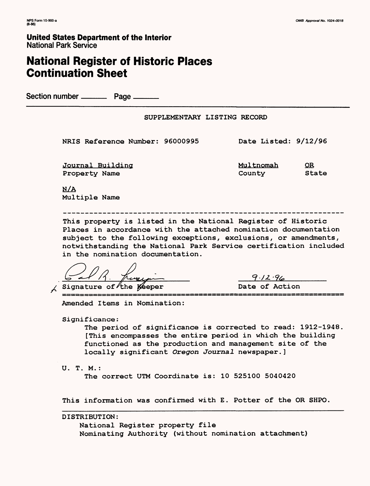## **National Register of Historic Places Continuation Sheet**

Section number ——— Page \_\_\_

NRIS Reference Number: 96000995 Date Listed: 9/12/96

Journal Building Nulles Multnomah OR Property Name County State

N/A Multiple Name

This property is listed in the National Register of Historic Places in accordance with the attached nomination documentation subject to the following exceptions, exclusions, or amendments, notwithstanding the National Park Service certification included in the nomination documentation.

Signature of the Keeper Date of Action

 $9.12.96$ 

Amended Items in Nomination:

Significance :

The period of significance is corrected to read: 1912-1948 [This encompasses the entire period in which the building functioned as the production and management site of the locally significant Oregon Journal newspaper.]

U. T. M. :

The correct UTM Coordinate is: 10 525100 5040420

This information was confirmed with E. Potter of the OR SHPO

DISTRIBUTION: National Register property file Nominating Authority (without nomination attachment)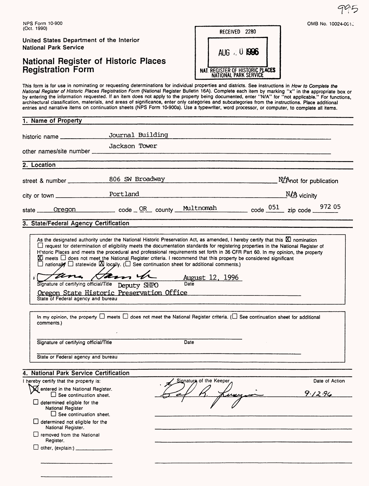### National Register of Historic Places **Registration Form**

| RECEIVED 2280                                             |  |
|-----------------------------------------------------------|--|
| AUG $\neq$ 0 1996                                         |  |
| NAT. REGISTER OF HISTORIC PLACES<br>NATIONAL PARK SERVICE |  |

This form is for use in nominating or requesting determinations for individual properties and districts. See instructions in *How to Complete the National Register of Historic Places Registration Form* (National Register Bulletin 16A). Complete each item by marking "x" in the appropriate box or by entering the information requested. If an item does not apply to the property being documented, enter "N/A" for "not applicable." For functions, architectural classification, materials, and areas of significance, enter only categories and subcategories from the instructions. Place additional entries and narrative items on continuation sheets (NPS Form 10-900a). Use a typewriter, word processor, or computer, to complete all items.

| 1. Name of Property                                                                                            |                                                                                                                                                                                                                                                                                                                                                                                    |                              |                           |
|----------------------------------------------------------------------------------------------------------------|------------------------------------------------------------------------------------------------------------------------------------------------------------------------------------------------------------------------------------------------------------------------------------------------------------------------------------------------------------------------------------|------------------------------|---------------------------|
| historic name                                                                                                  | Journal Building                                                                                                                                                                                                                                                                                                                                                                   |                              |                           |
| other names/site number ____                                                                                   | Jackson Tower                                                                                                                                                                                                                                                                                                                                                                      |                              |                           |
| 2. Location                                                                                                    |                                                                                                                                                                                                                                                                                                                                                                                    |                              |                           |
|                                                                                                                | 806 SW Broadway                                                                                                                                                                                                                                                                                                                                                                    |                              | NZAnot for publication    |
|                                                                                                                |                                                                                                                                                                                                                                                                                                                                                                                    |                              | $M\rightarrow$ vicinity   |
| state ___                                                                                                      | $\frac{\text{Oregon}}{\text{Oregon}}$ code $\frac{\text{OR}}{\text{OR}}$ county $\frac{\text{Multnomah}}{\text{Multnomah}}$ code $\frac{051}{\text{OSE}}$ zip code $\frac{972}{\text{OSE}}$                                                                                                                                                                                        |                              |                           |
| 3. State/Federal Agency Certification                                                                          |                                                                                                                                                                                                                                                                                                                                                                                    |                              |                           |
| State of Federal agency and bureau<br>comments.)                                                               | $\Box$ nationally $\Box$ statewide $\boxtimes$ locally. ( $\Box$ See continuation sheet for additional comments.)<br>tana Ham h<br>Signature of certifying official/Title Deputy SHPO<br>Oregon State Historic Preservation Office<br>In my opinion, the property $\Box$ meets $\Box$ does not meet the National Register criteria. ( $\Box$ See continuation sheet for additional | August 12, 1996<br>Date      |                           |
| Signature of certifying official/Title                                                                         |                                                                                                                                                                                                                                                                                                                                                                                    | Date                         |                           |
| State or Federal agency and bureau                                                                             |                                                                                                                                                                                                                                                                                                                                                                                    |                              |                           |
| 4. National Park Service Certification                                                                         |                                                                                                                                                                                                                                                                                                                                                                                    |                              |                           |
| I hereby certify that the property is:<br>Mentered in the National Register.<br>$\Box$ See continuation sheet. |                                                                                                                                                                                                                                                                                                                                                                                    | Signature of the Keeper<br>↗ | Date of Action<br>9.12.96 |
| $\Box$ determined eligible for the                                                                             |                                                                                                                                                                                                                                                                                                                                                                                    |                              |                           |
| National Register<br>$\Box$ See continuation sheet.<br>$\Box$ determined not eligible for the                  |                                                                                                                                                                                                                                                                                                                                                                                    |                              |                           |
| National Register.<br>removed from the National<br>Register.                                                   |                                                                                                                                                                                                                                                                                                                                                                                    |                              |                           |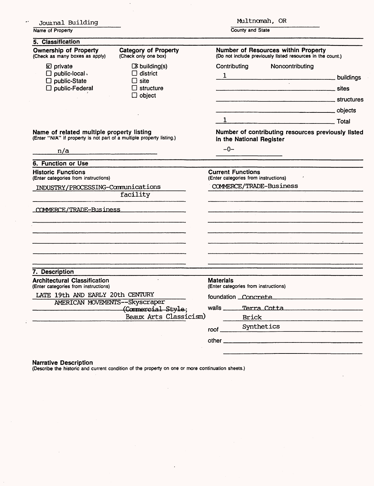| Journal Building                                                                                                   |                                                                                                |                                                                                                   |                            | Multnomah, OR                                 |  |  |
|--------------------------------------------------------------------------------------------------------------------|------------------------------------------------------------------------------------------------|---------------------------------------------------------------------------------------------------|----------------------------|-----------------------------------------------|--|--|
| Name of Property                                                                                                   |                                                                                                | County and State                                                                                  |                            |                                               |  |  |
| 5. Classification                                                                                                  |                                                                                                |                                                                                                   |                            |                                               |  |  |
| <b>Ownership of Property</b><br>(Check as many boxes as apply)                                                     | <b>Category of Property</b><br>(Check only one box)                                            | Number of Resources within Property<br>(Do not include previously listed resources in the count.) |                            |                                               |  |  |
| <b>E</b> private<br>$\Box$ public-local.<br>$\square$ public-State<br>$\square$ public-Federal                     | $\boxed{3}$ building(s)<br>$\Box$ district<br>$\Box$ site<br>$\Box$ structure<br>$\Box$ object | Contributing<br>$\mathbf{1}$                                                                      |                            | Noncontributing<br>$\mathcal{L}^{\text{max}}$ |  |  |
|                                                                                                                    |                                                                                                |                                                                                                   |                            | <b>Structures</b> Structures<br>1 Total       |  |  |
| Name of related multiple property listing<br>(Enter "N/A" if property is not part of a multiple property listing.) |                                                                                                | Number of contributing resources previously listed<br>in the National Register                    |                            |                                               |  |  |
| n/a                                                                                                                |                                                                                                | $-0-$                                                                                             |                            |                                               |  |  |
| 6. Function or Use                                                                                                 |                                                                                                |                                                                                                   |                            |                                               |  |  |
| <b>Historic Functions</b><br>(Enter categories from instructions)                                                  |                                                                                                | <b>Current Functions</b><br>(Enter categories from instructions)                                  |                            |                                               |  |  |
| INDUSTRY/PROCESSING-Communications                                                                                 |                                                                                                | COMMERCE/TRADE-Business                                                                           |                            |                                               |  |  |
|                                                                                                                    | facility                                                                                       |                                                                                                   |                            | 그는 그의 그의 사람들은 그의 사람들을 만들어 보이는 것이 없었다.         |  |  |
| COMMERCE/TRADE-Business                                                                                            |                                                                                                |                                                                                                   |                            |                                               |  |  |
|                                                                                                                    |                                                                                                |                                                                                                   |                            |                                               |  |  |
| 7. Description<br><b>Architectural Classification</b>                                                              |                                                                                                | <b>Materials</b>                                                                                  |                            |                                               |  |  |
| (Enter categories from instructions)<br>LATE 19th AND EARLY 20th CENTURY<br>AMERICAN MOVEMENTS--Skyscraper         |                                                                                                | (Enter categories from instructions)                                                              |                            |                                               |  |  |
|                                                                                                                    |                                                                                                | foundation Concrete                                                                               |                            |                                               |  |  |
|                                                                                                                    | (Commercial Style;<br>Beaux Arts Classicism)                                                   | walls $\frac{1}{2}$                                                                               |                            | Terra Cotta                                   |  |  |
|                                                                                                                    |                                                                                                | root                                                                                              | <b>Brick</b><br>Synthetics |                                               |  |  |
|                                                                                                                    |                                                                                                |                                                                                                   |                            |                                               |  |  |
|                                                                                                                    |                                                                                                |                                                                                                   |                            |                                               |  |  |

 $\mathcal{A}^{\mathcal{A}}$ 

Narrative Description (Describe the historic and current condition of the property on one or more continuation sheets.)

 $\mathcal{A}$ 

 $\overline{a}$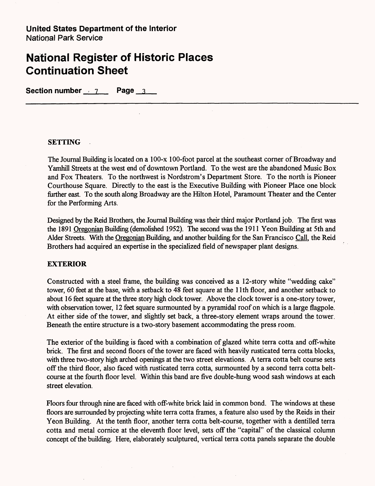Section number 7 Page 3

#### **SETTING**

The Journal Building is located on a 100-x 100-foot parcel at the southeast corner of Broadway and Yamhill Streets at the west end of downtown Portland. To the west are the abandoned Music Box and Fox Theaters. To the northwest is Nordstrom's Department Store. To the north is Pioneer Courthouse Square. Directly to the east is the Executive Building with Pioneer Place one block further east. To the south along Broadway are the Hilton Hotel, Paramount Theater and the Center for the Performing Arts.

Designed by the Reid Brothers, the Journal Building was their third major Portland job. The first was the 1891 Oregonian Building (demolished 1952). The second was the 1911 Yeon Building at 5th and Alder Streets. With the Oregonian Building, and another building for the San Francisco Call, the Reid Brothers had acquired an expertise in the specialized field of newspaper plant designs.

#### **EXTERIOR**

Constructed with a steel frame, the building was conceived as a 12-story white "wedding cake" tower, 60 feet at the base, with a setback to 48 feet square at the 11th floor, and another setback to about 16 feet square at the three story high clock tower. Above the clock tower is a one-story tower, with observation tower, 12 feet square surmounted by a pyramidal roof on which is a large flagpole. At either side of the tower, and slightly set back, a three-story element wraps around the tower. Beneath the entire structure is a two-story basement accommodating the press room.

The exterior of the building is faced with a combination of glazed white terra cotta and off-white brick. The first and second floors of the tower are faced with heavily rusticated terra cotta blocks, with three two-story high arched openings at the two street elevations. A terra cotta belt course sets off the third floor, also faced with rusticated terra cotta, surmounted by a second terra cotta beltcourse at the fourth floor level. Within this band are five double-hung wood sash windows at each street elevation.

Floors four through nine are faced with off-white brick laid in common bond. The windows at these floors are surrounded by projecting white terra cotta frames, a feature also used by the Reids in their Yeon Building. At the tenth floor, another terra cotta belt-course, together with a dentilled terra cotta and metal cornice at the eleventh floor level, sets off the "capital" of the classical column concept of the building. Here, elaborately sculptured, vertical terra cotta panels separate the double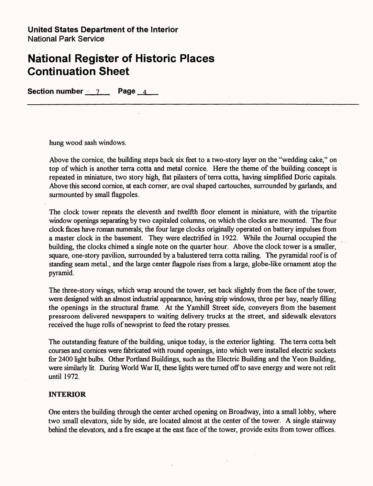**Section number 7 Page 4** 

hung wood sash windows.

Above the cornice, the building steps back six feet to a two-story layer on the "wedding cake," on top of which is another terra cotta and metal cornice. Here the theme of the building concept is repeated in miniature, two story high, flat pilasters of terra cotta, having simplified Doric capitals. Above this second cornice, at each corner, are oval shaped cartouches, surrounded by garlands, and surmounted by small flagpoles.

The clock tower repeats the eleventh and twelfth floor element in miniature, with the tripartite window openings separating by two capitaled columns, on which the clocks are mounted. The four clock faces have roman numerals; the four large clocks originally operated on battery impulses from a master clock in the basement. They were electrified in 1922. While the Journal occupied the building, the clocks chimed a single note on the quarter hour. Above the clock tower is a smaller, square, one-story pavilion, surrounded by a balustered terra cotta railing. The pyramidal roof is of standing seam metal., and the large center flagpole rises from a large, globe-like ornament atop the pyramid.

The three-story wings, which wrap around the tower, set back slightly from the face of the tower, were designed with an almost industrial appearance, having strip windows, three per bay, nearly filling the openings in the structural frame. At the Yamhill Street side, conveyers from the basement pressroom delivered newspapers to waiting delivery trucks at the street, and sidewalk elevators received the huge rolls of newsprint to feed the rotary presses.

The outstanding feature of the building, unique today, is the exterior lighting. The terra cotta belt courses and cornices were fabricated with round openings, into which were installed electric sockets for 2400 light bulbs. Other Portland Buildings, such as the Electric Building and the Yeon Building, were similarly lit. During World War II, these lights were turned off to save energy and were not relit until 1972.

#### **INTERIOR**

One enters the building through the center arched opening on Broadway, into a small lobby, where two small elevators, side by side, are located almost at the center of the tower. A single stairway behind the elevators, and a fire escape at the east face of the tower, provide exits from tower offices.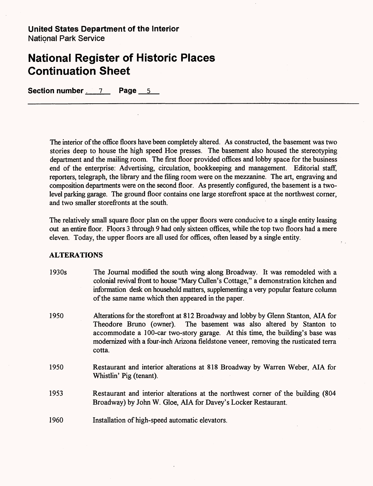Section number 7 Page 5

The interior of the office floors have been completely altered. As constructed, the basement was two stories deep to house the high speed Hoe presses. The basement also housed the stereotyping department and the mailing room. The first floor provided offices and lobby space for the business end of the enterprise: Advertising, circulation, bookkeeping and management. Editorial staff, reporters, telegraph, the library and the filing room were on the mezzanine. The art, engraving and composition departments were on the second floor. As presently configured, the basement is a twolevel parking garage. The ground floor contains one large storefront space at the northwest corner, and two smaller storefronts at the south.

The relatively small square floor plan on the upper floors were conducive to a single entity leasing out an entire floor. Floors 3 through 9 had only sixteen offices, while the top two floors had a mere eleven. Today, the upper floors are all used for offices, often leased by a single entity.

#### **ALTERATIONS**

- 1930s The Journal modified the south wing along Broadway. It was remodeled with a colonial revival front to house "Mary Cullen's Cottage," a demonstration kitchen and information desk on household matters, supplementing a very popular feature column of the same name which then appeared in the paper.
- 1950 Alterations for the storefront at 812 Broadway and lobby by Glenn Stanton, ALA for Theodore Bruno (owner). The basement was also altered by Stanton to accommodate a 100-car two-story garage. At this time, the building's base was modernized with a four-inch Arizona fieldstone veneer, removing the rusticated terra cotta.
- 1950 Restaurant and interior alterations at 818 Broadway by Warren Weber, ALA for Whistlin' Pig (tenant).
- 1953 Restaurant and interior alterations at the northwest corner of the building (804 Broadway) by John W. Gloe, AIA for Davey's Locker Restaurant.
- 1960 Installation of high-speed automatic elevators.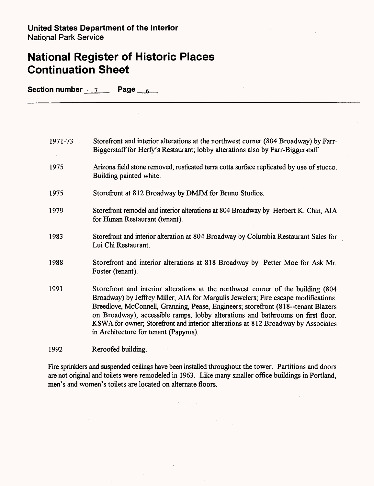Section number 7 Page 6

 $\mathcal{L}$ 

| 1971-73 | Storefront and interior alterations at the northwest corner (804 Broadway) by Farr-<br>Biggerstaff for Herfy's Restaurant; lobby alterations also by Farr-Biggerstaff.                                                                                                                                                                                                                                                                                                        |
|---------|-------------------------------------------------------------------------------------------------------------------------------------------------------------------------------------------------------------------------------------------------------------------------------------------------------------------------------------------------------------------------------------------------------------------------------------------------------------------------------|
| 1975    | Arizona field stone removed; rusticated terra cotta surface replicated by use of stucco.<br>Building painted white.                                                                                                                                                                                                                                                                                                                                                           |
| 1975    | Storefront at 812 Broadway by DMJM for Bruno Studios.                                                                                                                                                                                                                                                                                                                                                                                                                         |
| 1979    | Storefront remodel and interior alterations at 804 Broadway by Herbert K. Chin, AIA<br>for Hunan Restaurant (tenant).                                                                                                                                                                                                                                                                                                                                                         |
| 1983    | Storefront and interior alteration at 804 Broadway by Columbia Restaurant Sales for<br>Lui Chi Restaurant.                                                                                                                                                                                                                                                                                                                                                                    |
| 1988    | Storefront and interior alterations at 818 Broadway by Petter Moe for Ask Mr.<br>Foster (tenant).                                                                                                                                                                                                                                                                                                                                                                             |
| 1991    | Storefront and interior alterations at the northwest corner of the building (804<br>Broadway) by Jeffrey Miller, AIA for Margulis Jewelers; Fire escape modifications.<br>Breedlove, McConnell, Granning, Pease, Engineers; storefront (818--tenant Blazers)<br>on Broadway); accessible ramps, lobby alterations and bathrooms on first floor.<br>KSWA for owner; Storefront and interior alterations at 812 Broadway by Associates<br>in Architecture for tenant (Papyrus). |
| 1992    | Reroofed building.                                                                                                                                                                                                                                                                                                                                                                                                                                                            |

Fire sprinklers and suspended ceilings have been installed throughout the tower. Partitions and doors are not original and toilets were remodeled in 1963. Like many smaller office buildings in Portland, men's and women's toilets are located on alternate floors.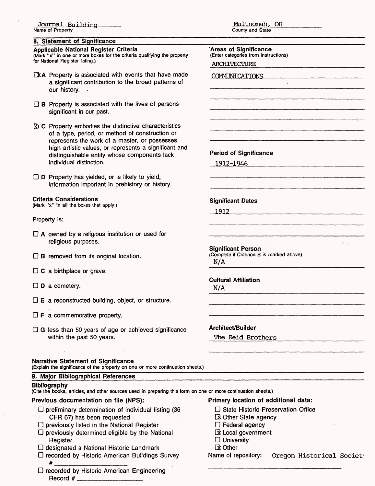#### **8. Statement of Significance**

#### **Applicable National Register Criteria**

(Mark "x" in one or more boxes for the criteria qualifying the property for National Register listing.)

- $\square$ **EXA** Property is associated with events that have made a significant contribution to the broad patterns of our history.
- $\Box$  B Property is associated with the lives of persons significant in our past.
- $\overline{\mathbb{X}}$  C Property embodies the distinctive characteristics of a type, period, or method of construction or represents the work of a master, or possesses high artistic values, or represents a significant and distinguishable entity whose components lack individual distinction.
- $\Box$  D Property has yielded, or is likely to yield, information important in prehistory or history.

#### Criteria Considerations

(Mark "x" in all the boxes that apply.)

Property is:

- $\Box$  A owned by a religious institution or used for religious purposes.
- $\Box$  **B** removed from its original location.
- $\Box$  C a birthplace or grave.
- $\Box$  **D** a cemetery.
- $\square$  **E** a reconstructed building, object, or structure.
- $\Box$  **F** a commemorative property.
- $\Box$  G less than 50 years of age or achieved significance within the past 50 years.

#### Narrative Statement of Significance

(Explain the significance of the property on one or more continuation sheets.)

#### 9. Major Bibliographical References

| <b>Bibilography</b><br>(Cite the books, articles, and other sources used in preparing this form on one or more continuation sheets.)                                                                                                                                    |                                                                                                                                                                     |
|-------------------------------------------------------------------------------------------------------------------------------------------------------------------------------------------------------------------------------------------------------------------------|---------------------------------------------------------------------------------------------------------------------------------------------------------------------|
| Previous documentation on file (NPS):                                                                                                                                                                                                                                   | Primary location of additional data:                                                                                                                                |
| $\Box$ preliminary determination of individual listing (36<br>CFR 67) has been requested<br>$\Box$ previously listed in the National Register<br>$\square$ previously determined eligible by the National<br>Register<br>$\Box$ designated a National Historic Landmark | $\Box$ State Historic Preservation Office<br><b>EX Other State agency</b><br>$\Box$ Federal agency<br>Ex Local government<br>$\Box$ University<br>$\boxtimes$ Other |
| $\Box$ recorded by Historic American Buildings Survey<br>$\Box$ recorded by Historic American Engineering                                                                                                                                                               | Name of repository:<br>Oregon Historical Society                                                                                                                    |

Multnomah, OR County and State

**'Areas of Significance** (Enter categories from instructions)

ARCHITECTURE

COMMINICATIONS  $\bar{\mathcal{A}}$ Period of Significance 1912^1946\_\_\_\_\_ **Significant Dates** 1912\_\_\_\_\_\_\_  $\mathcal{L}^{\mathcal{L}}$ **Significant Person** (Complete if Criterion B is marked above) N/A **Cultural Affiliation** N/A

Architect/Builder

The Reid Brothers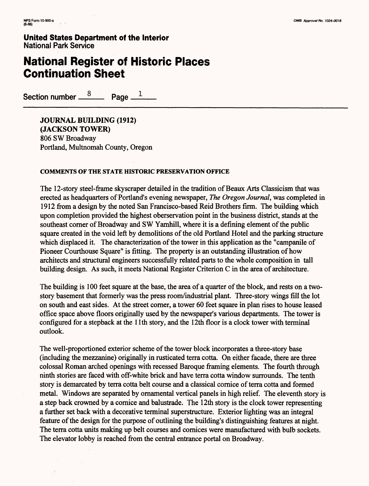## **National Register of Historic Places Continuation Sheet**

Section number  $\frac{8}{2}$  Page  $\frac{1}{2}$ 

**JOURNAL BUILDING (1912) (JACKSON TOWER)** 806 SW Broadway Portland, Multnomah County, Oregon

#### **COMMENTS OF THE STATE HISTORIC PRESERVATION OFFICE**

The 12-story steel-frame skyscraper detailed in the tradition of Beaux Arts Classicism that was erected as headquarters of Portland's evening newspaper, *The Oregon Journal,* was completed in 1912 from a design by the noted San Francisco-based Reid Brothers firm. The building which upon completion provided the highest oberservation point in the business district, stands at the southeast corner of Broadway and SW Yamhill, where it is a defining element of the public square created in the void left by demolitions of the old Portland Hotel and the parking structure which displaced it. The characterization of the tower in this application as the "campanile of Pioneer Courthouse Square" is fitting. The property is an outstanding illustration of how architects and structural engineers successfully related parts to the whole composition in tall building design. As such, it meets National Register Criterion C in the area of architecture.

The building is 100 feet square at the base, the area of a quarter of the block, and rests on a twostory basement that formerly was the press room/industrial plant. Three-story wings fill the lot on south and east sides. At the street corner, a tower 60 feet square in plan rises to house leased office space above floors originally used by the newspaper's various departments. The tower is configured for a stepback at the 11th story, and the 12th floor is a clock tower with terminal outlook.

The well-proportioned exterior scheme of the tower block incorporates a three-story base (including the mezzanine) originally in rusticated terra cotta. On either facade, there are three colossal Roman arched openings with recessed Baroque framing elements. The fourth through ninth stories are faced with off-white brick and have terra cotta window surrounds. The tenth story is demarcated by terra cotta belt course and a classical cornice of terra cotta and formed metal. Windows are separated by ornamental vertical panels in high relief. The eleventh story is a step back crowned by a cornice and balustrade. The 12th story is the clock tower representing a further set back with a decorative terminal superstructure. Exterior lighting was an integral feature of the design for the purpose of outlining the building's distinguishing features at night. The terra cotta units making up belt courses and cornices were manufactured with bulb sockets. The elevator lobby is reached from the central entrance portal on Broadway.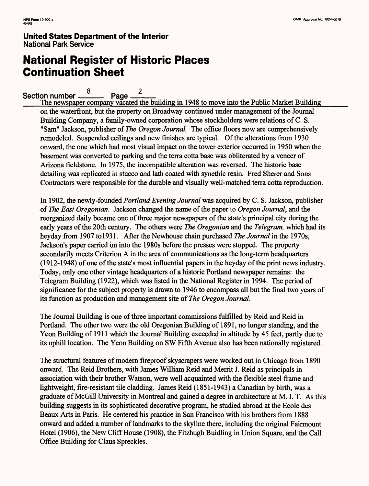# **National Register of Historic Places Continuation Sheet**

#### Q 2 Section number  $\frac{8}{2}$  Page

The newspaper company vacated the building in 1948 to move into the Public Market Building on the waterfront, but the property on Broadway continued under management of the Journal Building Company, a family-owned corporation whose stockholders were relations of C. S. "Sam" Jackson, publisher of *The Oregon Journal* The office floors now are comprehensively remodeled. Suspended ceilings and new finishes are typical. Of the alterations from 1930 onward, the one which had most visual impact on the tower exterior occurred in 1950 when the basement was converted to parking and the terra cotta base was obliterated by a veneer of Arizona fieldstone. In 1975, the incompatible alteration was reversed. The historic base detailing was replicated in stucco and lath coated with synethic resin. Fred Sherer and Sons Contractors were responsible for the durable and visually well-matched terra cotta reproduction.

In 1902, the newly-founded *Portland Evening Journal* was acquired by C. S. Jackson, publisher of *The East Oregonian.* Jackson changed the name of the paper to *Oregon Journal,* and the reorganized daily became one of three major newspapers of the state's principal city during the early years of the 20th century. The others were *The Oregonian* and the *Telegram,* which had its heyday from 1907 to 1931. After the Newhouse chain purchased *The Journal* in the 1970s, Jackson's paper carried on into the 1980s before the presses were stopped. The property secondarily meets Criterion A in the area of communications as the long-term headquarters (1912-1948) of one of the state's most influential papers in the heyday of the print news industry. Today, only one other vintage headquarters of a historic Portland newspaper remains: the Telegram Building (1922), which was listed in the National Register in 1994. The period of significance for the subject property is drawn to 1946 to encompass all but the final two years of its function as production and management site of *The Oregon Journal*

The Journal Building is one of three important commissions fulfilled by Reid and Reid in Portland. The other two were the old Oregonian Building of 1891, no longer standing, and the Yeon Building of 1911 which the Journal Building exceeded in altitude by 45 feet, partly due to its uphill location. The Yeon Building on SW Fifth Avenue also has been nationally registered.

The structural features of modern fireproof skyscrapers were worked out in Chicago from 1890 onward. The Reid Brothers, with James William Reid and Merrit J. Reid as principals in association with their brother Watson, were well acquainted with the flexible steel frame and lightweight, fire-resistant tile cladding. James Reid (1851-1943) a Canadian by birth, was a graduate of McGill University in Montreal and gained a degree in architecture at M. I. T. As this building suggests in its sophisticated decorative program, he studied abroad at the Ecole des Beaux Arts in Paris. He centered his practice in San Francisco with his brothers from 1888 onward and added a number of landmarks to the skyline there, including the original Fairmount Hotel (1906), the New Cliff House (1908), the Fitzhugh Buidling in Union Square, and the Call Office Building for Claus Spreckles.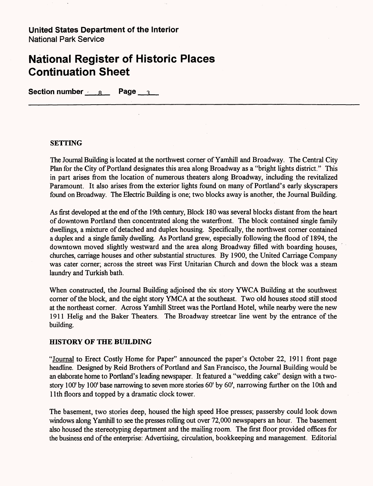### **National Register of Historic Places Continuation Sheet**

**Section number R R Page 3** 

#### **SETTING**

The Journal Building is located at the northwest corner of Yamhill and Broadway. The Central City Plan for the City of Portland designates this area along Broadway as a "bright lights district." This in part arises from the location of numerous theaters along Broadway, including the revitalized Paramount. It also arises from the exterior lights found on many of Portland's early skyscrapers found on Broadway. The Electric Building is one; two blocks away is another, the Journal Building.

As first developed at the end of the 19th century, Block 180 was several blocks distant from the heart of downtown Portland then concentrated along the waterfront. The block contained single family dwellings, a mixture of detached and duplex housing. Specifically, the northwest corner contained a duplex and a single family dwelling. As Portland grew, especially following the flood of 1894, the downtown moved slightly westward and the area along Broadway filled with boarding houses, churches, carriage houses and other substantial structures. By 1900, the United Carriage Company was cater corner; across the street was First Unitarian Church and down the block was a steam laundry and Turkish bath.

When constructed, the Journal Building adjoined the six story YWCA Building at the southwest corner of the block, and the eight story YMCA at the southeast. Two old houses stood still stood at the northeast corner. Across Yamhill Street was the Portland Hotel, while nearby were the new 1911 Helig and the Baker Theaters. The Broadway streetcar line went by the entrance of the building.

#### **HISTORY OF THE BUILDING**

"Journal to Erect Costly Home for Paper" announced the paper's October 22, 1911 front page headline. Designed by Reid Brothers of Portland and San Francisco, the Journal Building would be an elaborate home to Portland's leading newspaper. It featured a "wedding cake" design with a twostory 100' by 100' base narrowing to seven more stories 60' by 60', narrowing further on the 10th and 11th floors and topped by a dramatic clock tower.

The basement, two stories deep, housed the high speed Hoe presses; passersby could look down windows along Yamhill to see the presses rolling out over 72,000 newspapers an hour. The basement also housed the stereotyping department and the mailing room. The first floor provided offices for the business end of the enterprise: Advertising, circulation, bookkeeping and management. Editorial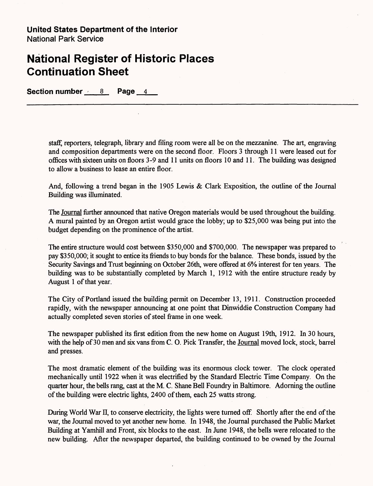### **National Register of Historic Places Continuation Sheet**

Section number 8 Page 4

staff, reporters, telegraph, library and filing room were all be on the mezzanine. The art, engraving and composition departments were on the second floor. Floors 3 through 11 were leased out for offices with sixteen units on floors 3-9 and 11 units on floors 10 and 11. The building was designed to allow a business to lease an entire floor.

And, following a trend began in the 1905 Lewis & Clark Exposition, the outline of the Journal Building was illuminated.

The Journal further announced that native Oregon materials would be used throughout the building. A mural painted by an Oregon artist would grace the lobby; up to \$25,000 was being put into the budget depending on the prominence of the artist.

The entire structure would cost between \$350,000 and \$700,000. The newspaper was prepared to pay \$350,000; it sought to entice its friends to buy bonds for the balance. These bonds, issued by the Security Savings and Trust beginning on October 26th, were offered at 6% interest for ten years. The building was to be substantially completed by March 1, 1912 with the entire structure ready by August 1 of that year.

The City of Portland issued the building permit on December 13, 1911. Construction proceeded rapidly, with the newspaper announcing at one point that Dinwiddie Construction Company had actually completed seven stories of steel frame in one week.

The newspaper published its first edition from the new home on August 19th, 1912. In 30 hours, with the help of 30 men and six vans from C. 0. Pick Transfer, the Journal moved lock, stock, barrel and presses.

The most dramatic element of the building was its enormous clock tower. The clock operated mechanically until 1922 when it was electrified by the Standard Electric Time Company. On the quarter hour, the bells rang, cast at the M. C. Shane Bell Foundry in Baltimore. Adorning the outline of the building were electric lights, 2400 of them, each 25 watts strong.

During World War II, to conserve electricity, the lights were turned off. Shortly after the end of the war, the Journal moved to yet another new home. In 1948, the Journal purchased the Public Market Building at Yamhill and Front, six blocks to the east. In June 1948, the bells were relocated to the new building. After the newspaper departed, the building continued to be owned by the Journal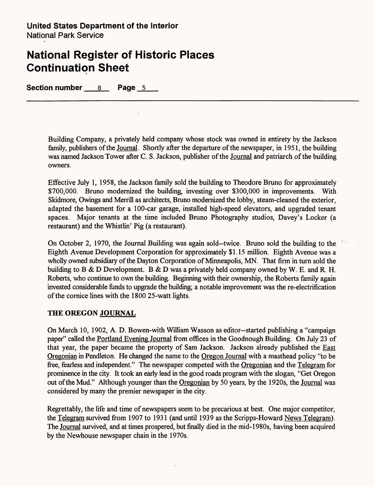Section number 8 Page 5

Building Company, a privately held company whose stock was owned in entirety by the Jackson family, publishers of the Journal. Shortly after the departure of the newspaper, in 1951, the building was named Jackson Tower after C. S. Jackson, publisher of the Journal and patriarch of the building owners.

Effective July 1, 1958, the Jackson family sold the building to Theodore Bruno for approximately \$700,000. Bruno modernized the building, investing over \$300,000 in improvements. With Skidmore, Owings and Merrill as architects, Bruno modernized the lobby, steam-cleaned the exterior, adapted the basement for a 100-car garage, installed high-speed elevators, and upgraded tenant spaces. Major tenants at the time included Bruno Photography studios, Davey's Locker (a restaurant) and the Whistlin' Pig (a restaurant).

On October 2, 1970, the Journal Building was again sold—twice. Bruno sold the building to the Eighth Avenue Development Corporation for approximately \$1.15 million. Eighth Avenue was a wholly owned subsidiary of the Dayton Corporation of Minneapolis, MN. That firm in turn sold the building to B & D Development. B & D was a privately held company owned by W. E. and R. H. Roberts, who continue to own the building. Beginning with their ownership, the Roberts family again invested considerable funds to upgrade the building; a notable improvement was the re-electrification of the cornice lines with the 1800 25-watt lights.

### **THE OREGON JOURNAL**

On March 10, 1902, A. D. Bowen-with William Wasson as editor—started publishing a "campaign paper" called the Portland Evening Journal from offices in the Goodnough Building. On July 23 of that year, the paper became the property of Sam Jackson. Jackson already published the East Oregonian in Pendleton. He changed the name to the Oregon Journal with a masthead policy "to be free, fearless and independent." The newspaper competed with the Oregonian and the Telegram for prominence in the city. It took an early lead in the good roads program with the slogan, "Get Oregon out of the Mud." Although younger than the Oregonian by 50 years, by the 1920s, the Journal was considered by many the premier newspaper in the city.

Regrettably, the life and time of newspapers seem to be precarious at best. One major competitor, the Telegram survived from 1907 to 1931 (and until 1939 as the Scripps-Howard News Telegram). The Journal survived, and at times prospered, but finally died in the mid-1980s, having been acquired by the Newhouse newspaper chain in the 1970s.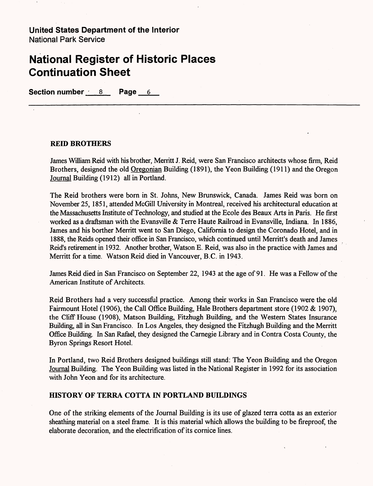### **National Register of Historic Places Continuation Sheet**

**Section number 8 Page 6** 

#### **REED BROTHERS**

James William Reid with his brother, Merritt J. Reid, were San Francisco architects whose firm, Reid Brothers, designed the old Oregonian Building (1891), the Yeon Building (1911) and the Oregon Journal Building (1912) all in Portland.

The Reid brothers were born in St. Johns, New Brunswick, Canada. James Reid was born on November 25, 1851, attended McGill University in Montreal, received his architectural education at the Massachusetts Institute of Technology, and studied at the Ecole des Beaux Arts in Paris. He first worked as a draftsman with the Evansville & Terre Haute Railroad in Evansville, Indiana. In 1886, James and his borther Merritt went to San Diego, California to design the Coronado Hotel, and in 1888, the Reids opened their office in San Francisco, which continued until Merritt's death and James Reid's retirement in 1932. Another brother, Watson E. Reid, was also in the practice with James and Merritt for a time. Watson Reid died in Vancouver, B.C. in 1943.

James Reid died in San Francisco on September 22, 1943 at the age of 91. He was a Fellow of the American Institute of Architects.

Reid Brothers had a very successful practice. Among their works in San Francisco were the old Fairmount Hotel (1906), the Call Office Building, Hale Brothers department store (1902 & 1907), the Cliff House (1908), Matson Building, Fitzhugh Building, and the Western States Insurance Building, all in San Francisco. In Los Angeles, they designed the Fitzhugh Building and the Merritt Office Building. In San Rafael, they designed the Carnegie Library and in Contra Costa County, the Byron Springs Resort Hotel.

In Portland, two Reid Brothers designed buildings still stand: The Yeon Building and the Oregon Journal Building. The Yeon Building was listed in the National Register in 1992 for its association with John Yeon and for its architecture.

#### **HISTORY OF TERRA COTTA IN PORTLAND BUILDINGS**

One of the striking elements of the Journal Building is its use of glazed terra cotta as an exterior sheathing material on a steel frame. It is this material which allows the building to be fireproof, the elaborate decoration, and the electrification of its cornice lines.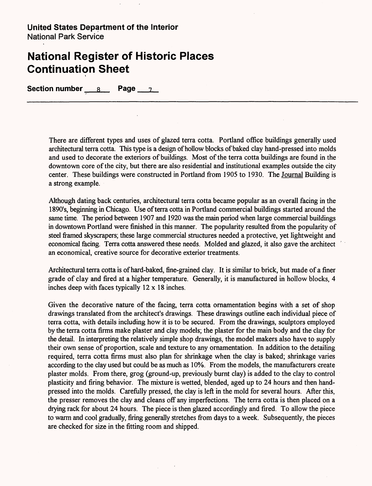### **National Register of Historic Places Continuation Sheet**

**Section number** 8 **Page** 7

There are different types and uses of glazed terra cotta. Portland office buildings generally used architectural terra cotta. This type is a design of hollow blocks of baked clay hand-pressed into molds and used to decorate the exteriors of buildings. Most of the terra cotta buildings are found in the downtown core of the city, but there are also residential and institutional examples outside the city center. These buildings were constructed in Portland from 1905 to 1930. The Journal Building is a strong example.

Although dating back centuries, architectural terra cotta became popular as an overall facing in the 1890's, beginning in Chicago. Use of terra cotta in Portland commercial buildings started around the same time. The period between 1907 and 1920 was the main period when large commercial buildings in downtown Portland were finished in this manner. The popularity resulted from the popularity of steel framed skyscrapers; these large commercial structures needed a protective, yet lightweight and economical facing. Terra cotta answered these needs. Molded and glazed, it also gave the architect an economical, creative source for decorative exterior treatments.

Architectural terra cotta is of hard-baked, fine-grained clay. It is similar to brick, but made of a finer grade of clay and fired at a higher temperature. Generally, it is manufactured in hollow blocks, 4 inches deep with faces typically  $12 \times 18$  inches.

Given the decorative nature of the facing, terra cotta ornamentation begins with a set of shop drawings translated from the architect's drawings. These drawings outline each individual piece of terra cotta, with details including how it is to be secured. From the drawings, sculptors employed by the terra cotta firms make plaster and clay models; the plaster for the main body and the clay for the detail. In interpreting the relatively simple shop drawings, the model makers also have to supply their own sense of proportion, scale and texture to any ornamentation. In addition to the detailing required, terra cotta firms must also plan for shrinkage when the clay is baked; shrinkage varies according to the clay used but could be as much as 10%. From the models, the manufacturers create plaster molds. From there, grog (ground-up, previously burnt clay) is added to the clay to control plasticity and firing behavior. The mixture is wetted, blended, aged up to 24 hours and then handpressed into the molds. Carefully pressed, the clay is left in the mold for several hours. After this, the presser removes the clay and cleans off any imperfections. The terra cotta is then placed on a drying rack for about 24 hours. The piece is then glazed accordingly and fired. To allow the piece to warm and cool gradually, firing generally stretches from days to a week. Subsequently, the pieces are checked for size in the fitting room and shipped.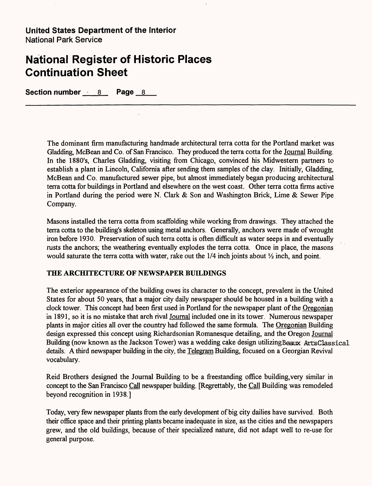# **National Register of Historic Places Continuation Sheet**

Section number 8 Page 8

The dominant firm manufacturing handmade architectural terra cotta for the Portland market was Gladding, McBean and Co. of San Francisco. They produced the terra cotta for the Journal Building. In the 1880's, Charles Gladding, visiting from Chicago, convinced his Midwestern partners to establish a plant in Lincoln, California after sending them samples of the clay. Initially, Gladding, McBean and Co. manufactured sewer pipe, but almost immediately began producing architectural terra cotta for buildings in Portland and elsewhere on the west coast. Other terra cotta firms active in Portland during the period were N. Clark & Son and Washington Brick, Lime & Sewer Pipe Company.

Masons installed the terra cotta from scaffolding while working from drawings. They attached the terra cotta to the building's skeleton using metal anchors. Generally, anchors were made of wrought iron before 1930. Preservation of such terra cotta is often difficult as water seeps in and eventually rusts the anchors; the weathering eventually explodes the terra cotta. Once in place, the masons would saturate the terra cotta with water, rake out the  $1/4$  inch joints about  $\frac{1}{2}$  inch, and point.

### **THE ARCHITECTURE OF NEWSPAPER BUILDINGS**

The exterior appearance of the building owes its character to the concept, prevalent in the United States for about 50 years, that a major city daily newspaper should be housed in a building with a clock tower. This concept had been first used in Portland for the newspaper plant of the Oregonian in 1891, so it is no mistake that arch rival Journal included one in its tower. Numerous newspaper plants in major cities all over the country had followed the same formula. The Oregonian Building design expressed this concept using Richardsonian Romanesque detailing, and the Oregon Journal Building (now known as the Jackson Tower) was a wedding cake design utilizing Beaux Arts Classical details. A third newspaper building in the city, the Telegram Building, focused on a Georgian Revival vocabulary.

Reid Brothers designed the Journal Building to be a freestanding office building,very similar in concept to the San Francisco Call newspaper building. [Regrettably, the Call Building was remodeled beyond recognition in 1938.]

Today, very few newspaper plants from the early development of big city dailies have survived. Both their office space and their printing plants became inadequate in size, as the cities and the newspapers grew, and the old buildings, because of their specialized nature, did not adapt well to re-use for general purpose.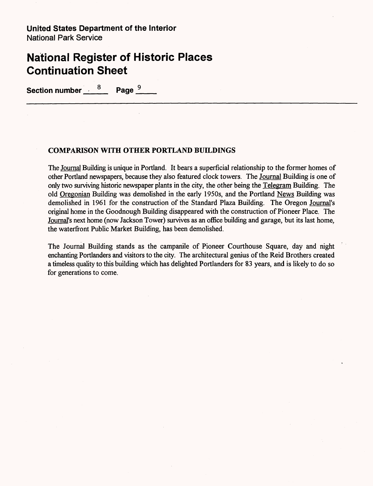Section number  $\frac{8}{2}$  Page  $\frac{9}{2}$ 

#### **COMPARISON WITH OTHER PORTLAND BUILDINGS**

The Journal Building is unique in Portland. It bears a superficial relationship to the former homes of other Portland newspapers, because they also featured clock towers. The Journal Building is one of only two surviving historic newspaper plants in the city, the other being the Telegram Building. The old Oregonian Building was demolished in the early 1950s, and the Portland News Building was demolished in 1961 for the construction of the Standard Plaza Building. The Oregon Journal's original home in the Goodnough Building disappeared with the construction of Pioneer Place. The Journal's next home (now Jackson Tower) survives as an office building and garage, but its last home, the waterfront Public Market Building, has been demolished.

The Journal Building stands as the campanile of Pioneer Courthouse Square, day and night enchanting Portlanders and visitors to the city. The architectural genius of the Reid Brothers created a timeless quality to this building which has delighted Portlanders for 83 years, and is likely to do so for generations to come.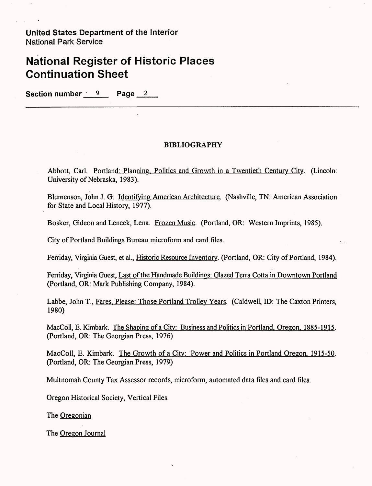Section number 9 Page 2

### **BIBLIOGRAPHY**

Abbott, Carl. Portland: Planning. Politics and Growth in a Twentieth Century City. (Lincoln: University of Nebraska, 1983).

Blumenson, John J. G. Identifying American Architecture. (Nashville, TN: American Association for State and Local History, 1977).

Bosker, Gideon and Lencek, Lena. Frozen Music. (Portland, OR: Western Imprints, 1985).

City of Portland Buildings Bureau microform and card files.

Ferriday, Virginia Guest, et al., Historic Resource Inventory. (Portland, OR: City of Portland, 1984).

Ferriday, Virginia Guest, Last of the Handmade Buildings: Glazed Terra Cotta in Downtown Portland (Portland, OR: Mark Publishing Company, 1984).

Labbe, John T., Fares. Please: Those Portland Trolley Years. (Caldwell, ID: The Caxton Printers, 1980)

MacColl, E. Kimbark. The Shaping of a City: Business and Politics in Portland. Oregon. 1885-1915. (Portland, OR: The Georgian Press, 1976)

MacColl, E. Kimbark. The Growth of a City: Power and Politics in Portland Oregon. 1915-50. (Portland, OR: The Georgian Press, 1979)

Multnomah County Tax Assessor records, microform, automated data files and card files.

Oregon Historical Society, Vertical Files.

The Oregonian

The Oregon Journal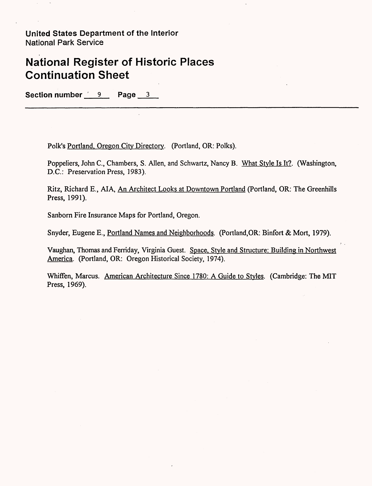Section number 9 Page 3

Polk's Portland, Oregon City Directory. (Portland, OR: Polks).

Poppeliers, John C., Chambers, S. Allen, and Schwartz, Nancy B. What Style Is It?. (Washington, D.C.: Preservation Press, 1983).

Ritz, Richard E., AIA, An Architect Looks at Downtown Portland (Portland, OR: The Greenhills Press, 1991).

Sanborn Fire Insurance Maps for Portland, Oregon.

Snyder, Eugene E., Portland Names and Neighborhoods. (Portland,OR: Binfort & Mort, 1979).

Vaughan, Thomas and Ferriday, Virginia Guest. Space. Style and Structure: Building in Northwest America. (Portland, OR: Oregon Historical Society, 1974).

Whiffen, Marcus. American Architecture Since 1780: A Guide to Styles. (Cambridge: The MIT Press, 1969).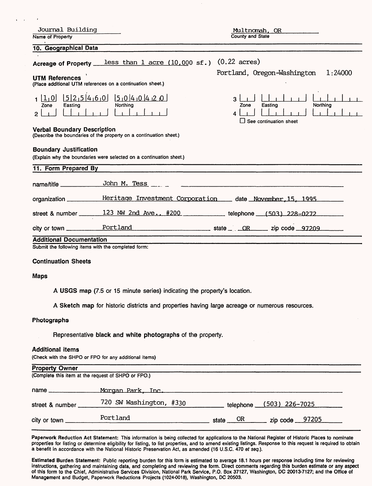| Journal Building<br>Name of Property                                                                                                                    | Multnomah, OR<br>County and State                                                                                                                                                                                                                                                                                     |  |  |  |
|---------------------------------------------------------------------------------------------------------------------------------------------------------|-----------------------------------------------------------------------------------------------------------------------------------------------------------------------------------------------------------------------------------------------------------------------------------------------------------------------|--|--|--|
| 10. Geographical Data                                                                                                                                   |                                                                                                                                                                                                                                                                                                                       |  |  |  |
| less than 1 acre $(10,000 \text{ sf.})$<br>Acreage of Property _<br><b>UTM References</b><br>(Place additional UTM references on a continuation sheet.) | $(0.22 \text{ acres})$<br>Portland, Oregon-Washington<br>1:24000                                                                                                                                                                                                                                                      |  |  |  |
| $[5]2, 5]4, 6, 0$ $[5, 0]4, 0]4, 2, 0$<br> 1,0 <br>Northing<br>Zone<br>Easting<br>$\mathbf{P}$                                                          | 3<br>Northing<br>Easting<br>Zone<br>4<br>See continuation sheet                                                                                                                                                                                                                                                       |  |  |  |
| <b>Verbal Boundary Description</b><br>(Describe the boundaries of the property on a continuation sheet.)                                                |                                                                                                                                                                                                                                                                                                                       |  |  |  |
| <b>Boundary Justification</b><br>(Explain why the boundaries were selected on a continuation sheet.)<br>11. Form Prepared By                            |                                                                                                                                                                                                                                                                                                                       |  |  |  |
|                                                                                                                                                         |                                                                                                                                                                                                                                                                                                                       |  |  |  |
| John M. Tess<br>name/title _____________                                                                                                                |                                                                                                                                                                                                                                                                                                                       |  |  |  |
| organization __________Heritage Investment Corporation ___ date November, 15, 1995                                                                      |                                                                                                                                                                                                                                                                                                                       |  |  |  |
| street & number 123 NW 2nd Ave., #200 telephone (503) 228-0272                                                                                          |                                                                                                                                                                                                                                                                                                                       |  |  |  |
| Portland<br>$city$ or town $\_\_$                                                                                                                       | $\frac{1}{2}$ state $\frac{1}{2}$ $\frac{1}{2}$ $\frac{1}{2}$ $\frac{1}{2}$ $\frac{1}{2}$ $\frac{1}{2}$ $\frac{1}{2}$ $\frac{1}{2}$ $\frac{1}{2}$ $\frac{1}{2}$ $\frac{1}{2}$ $\frac{1}{2}$ $\frac{1}{2}$ $\frac{1}{2}$ $\frac{1}{2}$ $\frac{1}{2}$ $\frac{1}{2}$ $\frac{1}{2}$ $\frac{1}{2}$ $\frac{1}{2}$ $\frac{1$ |  |  |  |
| <b>Additional Documentation</b>                                                                                                                         |                                                                                                                                                                                                                                                                                                                       |  |  |  |
| Submit the following items with the completed form:                                                                                                     |                                                                                                                                                                                                                                                                                                                       |  |  |  |
| <b>Continuation Sheets</b>                                                                                                                              |                                                                                                                                                                                                                                                                                                                       |  |  |  |
| <b>Maps</b>                                                                                                                                             |                                                                                                                                                                                                                                                                                                                       |  |  |  |
| A USGS map (7.5 or 15 minute series) indicating the property's location.                                                                                |                                                                                                                                                                                                                                                                                                                       |  |  |  |
| A Sketch map for historic districts and properties having large acreage or numerous resources.                                                          |                                                                                                                                                                                                                                                                                                                       |  |  |  |
| Photographs                                                                                                                                             |                                                                                                                                                                                                                                                                                                                       |  |  |  |
| Representative black and white photographs of the property.                                                                                             |                                                                                                                                                                                                                                                                                                                       |  |  |  |

#### **Additional items**

 $\mathcal{L}$ 

(Check with the SHPO or FPO for any additional items)

| <b>Property Owner</b>    |                                                     |            |                          |  |
|--------------------------|-----------------------------------------------------|------------|--------------------------|--|
|                          | (Complete this item at the request of SHPO or FPO.) |            |                          |  |
| name                     | Morgan Park, Inc.                                   |            |                          |  |
| street & number          | 720 SW Washington, #330                             |            | telephone (503) 226-7025 |  |
| city or town ___________ | Portland                                            | state $OR$ | zip code <u>97205</u>    |  |

Paperwork Reduction Act Statement: This information is being collected for applications to the National Register of Historic Places to nominate properties for listing or determine eligibility for listing, to list properties, and to amend existing listings. Response to this request is required to obtain a benefit in accordance with the National Historic Preservation Act, as amended (16 U.S.C. 470 *et seq.).*

Estimated Burden Statement: Public reporting burden for this form is estimated to average 18.1 hours per response including time for reviewing instructions, gathering and maintaining data, and completing and reviewing the form. Direct comments regarding this burden estimate or any aspect of this form to the Chief, Administrative Services Division, National Park Service, P.O. Box 37127, Washington, DC 20013-7127; and the Office of Management and Budget, Paperwork Reductions Projects (1024-0018), Washington, DC 20503.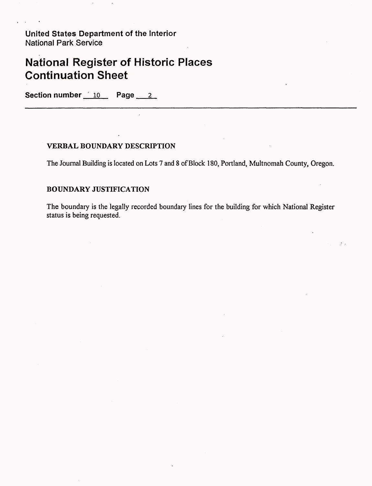# **National Register of Historic Places Continuation Sheet**

Section number 10 Page 2

### **VERBAL BOUNDARY DESCRIPTION**

The Journal Building is located on Lots 7 and 8 of Block 180, Portland, Multnomah County, Oregon.

### **BOUNDARY JUSTIFICATION**

The boundary is the legally recorded boundary lines for the building for which National Register status is being requested.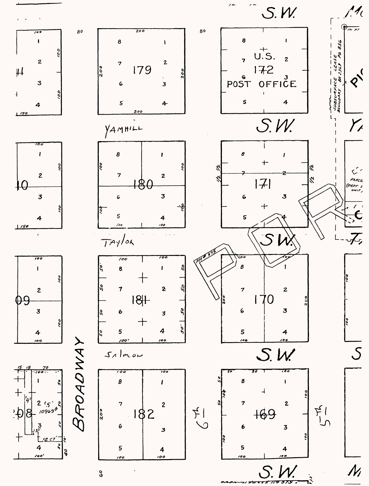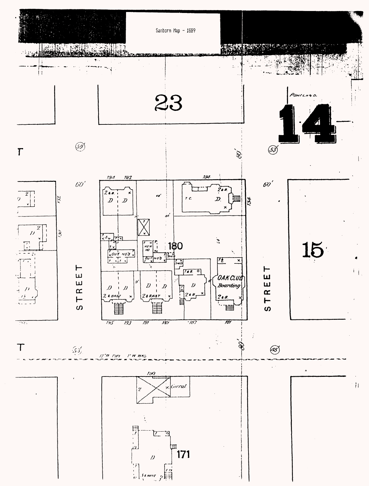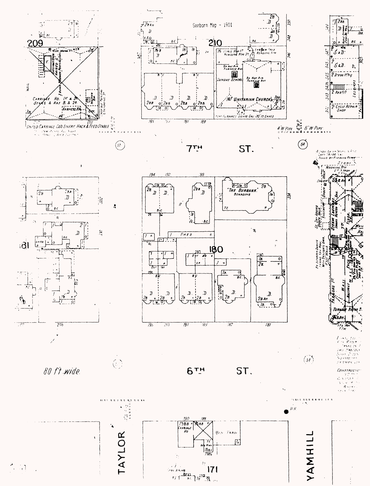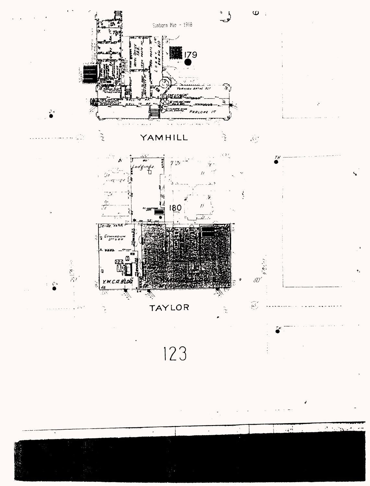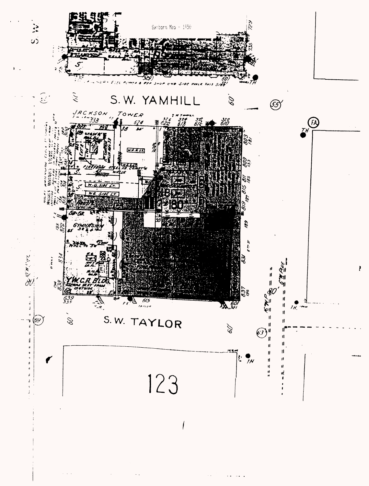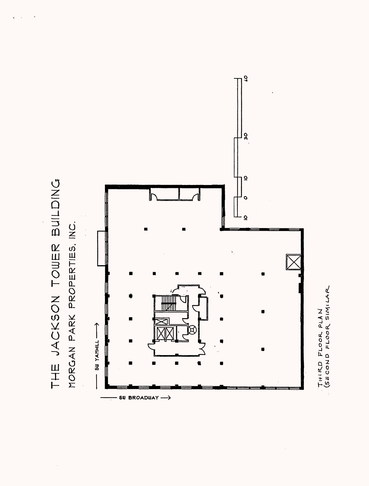

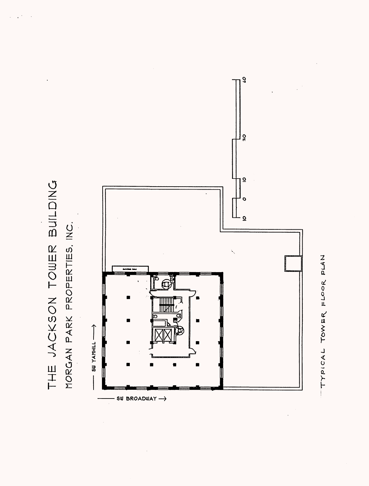

TYPICAL TOWER FLOOR PLAN